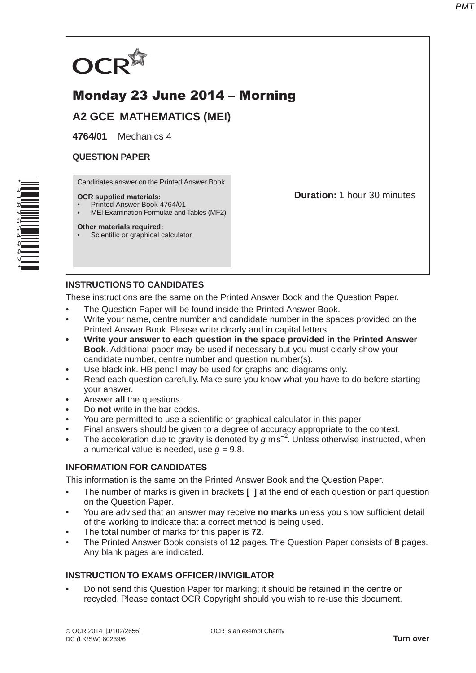

# Monday 23 June 2014 – Morning

**A2 GCE MATHEMATICS (MEI)**

**4764/01** Mechanics 4

### **QUESTION PAPER**

Candidates answer on the Printed Answer Book.

#### **OCR supplied materials:**

- Printed Answer Book 4764/01
- MEI Examination Formulae and Tables (MF2)

#### **Other materials required:**

Scientific or graphical calculator

**Duration:** 1 hour 30 minutes

## **INSTRUCTIONS TO CANDIDATES**

These instructions are the same on the Printed Answer Book and the Question Paper.

- The Question Paper will be found inside the Printed Answer Book.
- Write your name, centre number and candidate number in the spaces provided on the Printed Answer Book. Please write clearly and in capital letters.
- **Write your answer to each question in the space provided in the Printed Answer Book**. Additional paper may be used if necessary but you must clearly show your candidate number, centre number and question number(s).
- Use black ink. HB pencil may be used for graphs and diagrams only.
- Read each question carefully. Make sure you know what you have to do before starting your answer.
- Answer **all** the questions.
- Do **not** write in the bar codes.
- You are permitted to use a scientific or graphical calculator in this paper.
- Final answers should be given to a degree of accuracy appropriate to the context.
- The acceleration due to gravity is denoted by  $g$  ms<sup>-2</sup>. Unless otherwise instructed, when a numerical value is needed, use  $q = 9.8$ .

## **INFORMATION FOR CANDIDATES**

This information is the same on the Printed Answer Book and the Question Paper.

- The number of marks is given in brackets **[ ]** at the end of each question or part question on the Question Paper.
- You are advised that an answer may receive **no marks** unless you show sufficient detail of the working to indicate that a correct method is being used.
- The total number of marks for this paper is **72**.
- The Printed Answer Book consists of **12** pages. The Question Paper consists of **8** pages. Any blank pages are indicated.

## **INSTRUCTION TO EXAMS OFFICER / INVIGILATOR**

• Do not send this Question Paper for marking; it should be retained in the centre or recycled. Please contact OCR Copyright should you wish to re-use this document.

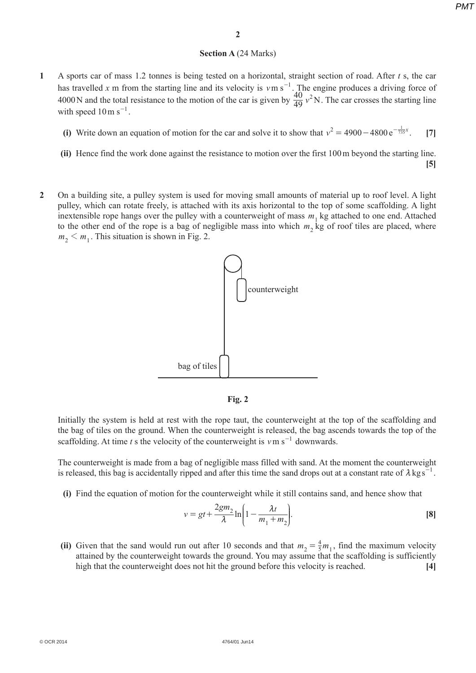### **Section A** (24 Marks)

- **1** A sports car of mass 1.2 tonnes is being tested on a horizontal, straight section of road. After *t* s, the car has travelled x m from the starting line and its velocity is  $v \text{m s}^{-1}$ . The engine produces a driving force of 4000 N and the total resistance to the motion of the car is given by  $\frac{40}{49}v^2N$ . The car crosses the starting line with speed  $10 \text{ m s}^{-1}$ .
- (i) Write down an equation of motion for the car and solve it to show that  $v^2 = 4900 4800 e^{-\frac{1}{735}x}$ . [7]
	- **(ii)** Hence find the work done against the resistance to motion over the first 100 m beyond the starting line.
		- **[5]**
- **2** On a building site, a pulley system is used for moving small amounts of material up to roof level. A light pulley, which can rotate freely, is attached with its axis horizontal to the top of some scaffolding. A light inextensible rope hangs over the pulley with a counterweight of mass  $m_1$  kg attached to one end. Attached to the other end of the rope is a bag of negligible mass into which  $m_2$  kg of roof tiles are placed, where  $m_2 < m_1$ . This situation is shown in Fig. 2.





Initially the system is held at rest with the rope taut, the counterweight at the top of the scaffolding and the bag of tiles on the ground. When the counterweight is released, the bag ascends towards the top of the scaffolding. At time *t* s the velocity of the counterweight is  $v \text{ m s}^{-1}$  downwards.

The counterweight is made from a bag of negligible mass filled with sand. At the moment the counterweight is released, this bag is accidentally ripped and after this time the sand drops out at a constant rate of  $\lambda$  kg s<sup>-1</sup>.

 **(i)** Find the equation of motion for the counterweight while it still contains sand, and hence show that

$$
v = gt + \frac{2gm_2}{\lambda} \ln \left( 1 - \frac{\lambda t}{m_1 + m_2} \right).
$$
 [8]

(ii) Given that the sand would run out after 10 seconds and that  $m_2 = \frac{4}{5}m_1$ , find the maximum velocity attained by the counterweight towards the ground. You may assume that the scaffolding is sufficiently high that the counterweight does not hit the ground before this velocity is reached. **[4]**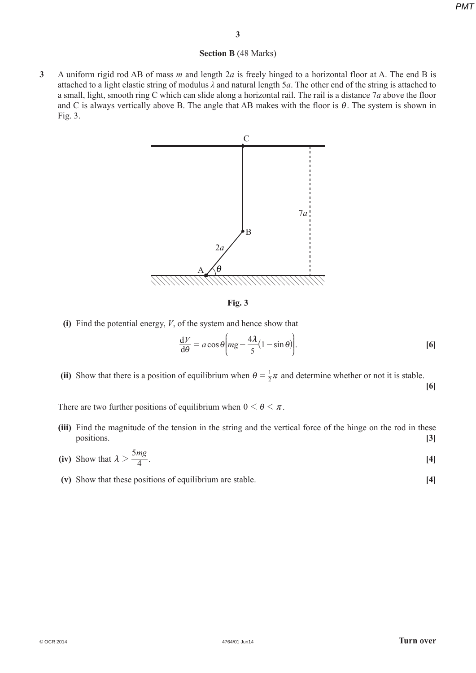#### **Section B** (48 Marks)

**3** A uniform rigid rod AB of mass *m* and length 2*a* is freely hinged to a horizontal floor at A. The end B is attached to a light elastic string of modulus *λ* and natural length 5*a*. The other end of the string is attached to a small, light, smooth ring C which can slide along a horizontal rail. The rail is a distance 7*a* above the floor and C is always vertically above B. The angle that AB makes with the floor is  $\theta$ . The system is shown in Fig. 3.



**Fig. 3**

 **(i)** Find the potential energy, *V*, of the system and hence show that

$$
\frac{dV}{d\theta} = a\cos\theta \bigg( mg - \frac{4\lambda}{5} (1 - \sin\theta) \bigg). \tag{6}
$$

(ii) Show that there is a position of equilibrium when  $\theta = \frac{1}{2}\pi$  and determine whether or not it is stable. **[6]**

There are two further positions of equilibrium when  $0 \le \theta \le \pi$ .

- **(iii)** Find the magnitude of the tension in the string and the vertical force of the hinge on the rod in these positions. **[3]**
- (iv) Show that  $\lambda > \frac{5mg}{4}$ . [4]
	- **(v)** Show that these positions of equilibrium are stable. **[4]**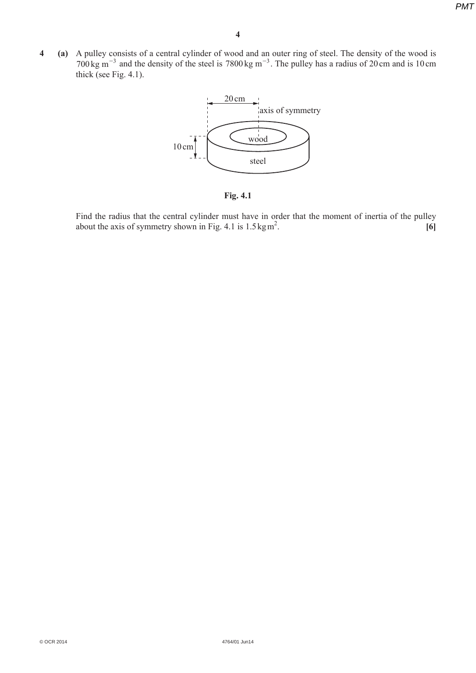*PMT*

**4 (a)** A pulley consists of a central cylinder of wood and an outer ring of steel. The density of the wood is  $700 \text{ kg m}^{-3}$  and the density of the steel is 7800 kg m<sup>-3</sup>. The pulley has a radius of 20 cm and is 10 cm thick (see Fig. 4.1).



**Fig. 4.1**

Find the radius that the central cylinder must have in order that the moment of inertia of the pulley about the axis of symmetry shown in Fig. 4.1 is  $1.5 \text{ kg m}^2$ . . **[6]**